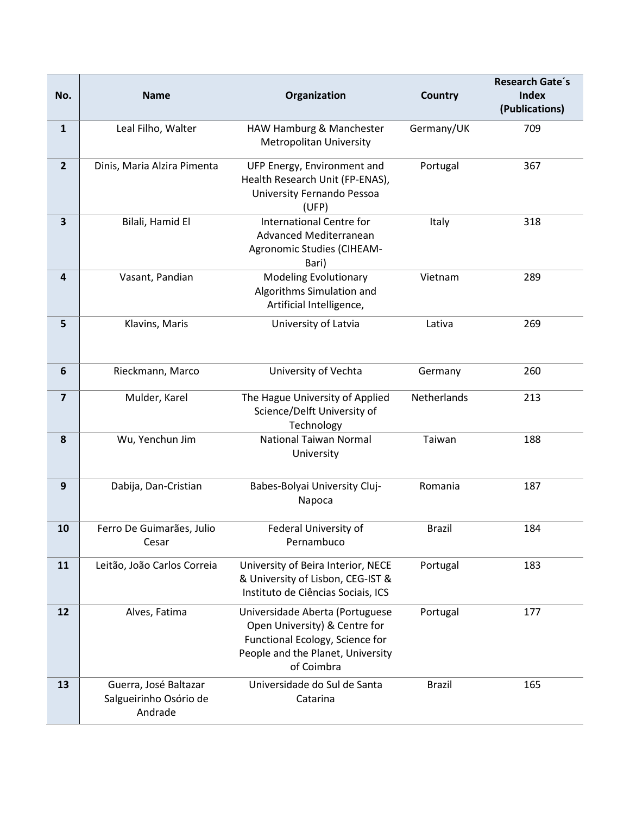| No.                     | <b>Name</b>                                                | Organization                                                                                                                                           | <b>Country</b> | Research Gate's<br><b>Index</b> |
|-------------------------|------------------------------------------------------------|--------------------------------------------------------------------------------------------------------------------------------------------------------|----------------|---------------------------------|
|                         |                                                            |                                                                                                                                                        |                | (Publications)                  |
| $\mathbf{1}$            | Leal Filho, Walter                                         | HAW Hamburg & Manchester<br><b>Metropolitan University</b>                                                                                             | Germany/UK     | 709                             |
| $2^{1}$                 | Dinis, Maria Alzira Pimenta                                | UFP Energy, Environment and<br>Health Research Unit (FP-ENAS),<br>University Fernando Pessoa<br>(UFP)                                                  | Portugal       | 367                             |
| $\overline{\mathbf{3}}$ | Bilali, Hamid El                                           | <b>International Centre for</b><br>Advanced Mediterranean<br>Agronomic Studies (CIHEAM-<br>Bari)                                                       | Italy          | 318                             |
| 4                       | Vasant, Pandian                                            | <b>Modeling Evolutionary</b><br>Algorithms Simulation and<br>Artificial Intelligence,                                                                  | Vietnam        | 289                             |
| 5                       | Klavins, Maris                                             | University of Latvia                                                                                                                                   | Lativa         | 269                             |
| 6                       | Rieckmann, Marco                                           | University of Vechta                                                                                                                                   | Germany        | 260                             |
| $\overline{\mathbf{z}}$ | Mulder, Karel                                              | The Hague University of Applied<br>Science/Delft University of<br>Technology                                                                           | Netherlands    | 213                             |
| 8                       | Wu, Yenchun Jim                                            | <b>National Taiwan Normal</b><br>University                                                                                                            | Taiwan         | 188                             |
| 9                       | Dabija, Dan-Cristian                                       | Babes-Bolyai University Cluj-<br>Napoca                                                                                                                | Romania        | 187                             |
| 10                      | Ferro De Guimarães, Julio<br>Cesar                         | Federal University of<br>Pernambuco                                                                                                                    | <b>Brazil</b>  | 184                             |
| 11                      | Leitão, João Carlos Correia                                | University of Beira Interior, NECE<br>& University of Lisbon, CEG-IST &<br>Instituto de Ciências Sociais, ICS                                          | Portugal       | 183                             |
| 12                      | Alves, Fatima                                              | Universidade Aberta (Portuguese<br>Open University) & Centre for<br>Functional Ecology, Science for<br>People and the Planet, University<br>of Coimbra | Portugal       | 177                             |
| 13                      | Guerra, José Baltazar<br>Salgueirinho Osório de<br>Andrade | Universidade do Sul de Santa<br>Catarina                                                                                                               | <b>Brazil</b>  | 165                             |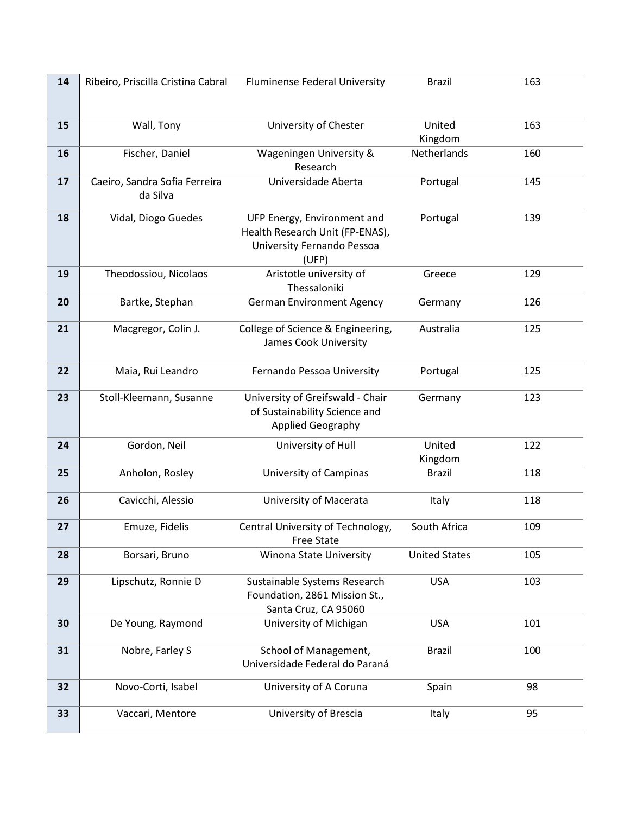| 14 | Ribeiro, Priscilla Cristina Cabral | Fluminense Federal University                          | <b>Brazil</b>        | 163 |
|----|------------------------------------|--------------------------------------------------------|----------------------|-----|
|    |                                    |                                                        |                      |     |
|    |                                    |                                                        |                      |     |
| 15 | Wall, Tony                         | University of Chester                                  | United               | 163 |
|    |                                    |                                                        | Kingdom              |     |
| 16 | Fischer, Daniel                    | Wageningen University &                                | Netherlands          | 160 |
|    |                                    | Research                                               |                      |     |
| 17 | Caeiro, Sandra Sofia Ferreira      | Universidade Aberta                                    | Portugal             | 145 |
|    | da Silva                           |                                                        |                      |     |
| 18 | Vidal, Diogo Guedes                | UFP Energy, Environment and                            | Portugal             | 139 |
|    |                                    | Health Research Unit (FP-ENAS),                        |                      |     |
|    |                                    | University Fernando Pessoa                             |                      |     |
|    |                                    | (UFP)                                                  |                      |     |
| 19 | Theodossiou, Nicolaos              | Aristotle university of                                | Greece               | 129 |
|    |                                    | Thessaloniki                                           |                      |     |
| 20 | Bartke, Stephan                    | <b>German Environment Agency</b>                       | Germany              | 126 |
|    |                                    |                                                        |                      |     |
| 21 | Macgregor, Colin J.                | College of Science & Engineering,                      | Australia            | 125 |
|    |                                    | James Cook University                                  |                      |     |
| 22 | Maia, Rui Leandro                  | Fernando Pessoa University                             | Portugal             | 125 |
|    |                                    |                                                        |                      |     |
| 23 | Stoll-Kleemann, Susanne            | University of Greifswald - Chair                       | Germany              | 123 |
|    |                                    | of Sustainability Science and                          |                      |     |
|    |                                    | Applied Geography                                      |                      |     |
| 24 | Gordon, Neil                       | University of Hull                                     | United               | 122 |
|    |                                    |                                                        | Kingdom              |     |
| 25 | Anholon, Rosley                    | <b>University of Campinas</b>                          | <b>Brazil</b>        | 118 |
|    |                                    |                                                        |                      |     |
| 26 | Cavicchi, Alessio                  | University of Macerata                                 | Italy                | 118 |
|    |                                    |                                                        |                      |     |
| 27 | Emuze, Fidelis                     | Central University of Technology,<br><b>Free State</b> | South Africa         | 109 |
| 28 | Borsari, Bruno                     | Winona State University                                | <b>United States</b> | 105 |
|    |                                    |                                                        |                      |     |
| 29 | Lipschutz, Ronnie D                | Sustainable Systems Research                           | <b>USA</b>           | 103 |
|    |                                    | Foundation, 2861 Mission St.,                          |                      |     |
|    |                                    | Santa Cruz, CA 95060                                   |                      |     |
| 30 | De Young, Raymond                  | University of Michigan                                 | <b>USA</b>           | 101 |
|    |                                    |                                                        |                      |     |
| 31 | Nobre, Farley S                    | School of Management,                                  | <b>Brazil</b>        | 100 |
|    |                                    | Universidade Federal do Paraná                         |                      |     |
| 32 | Novo-Corti, Isabel                 | University of A Coruna                                 | Spain                | 98  |
|    |                                    |                                                        |                      |     |
| 33 | Vaccari, Mentore                   | University of Brescia                                  | Italy                | 95  |
|    |                                    |                                                        |                      |     |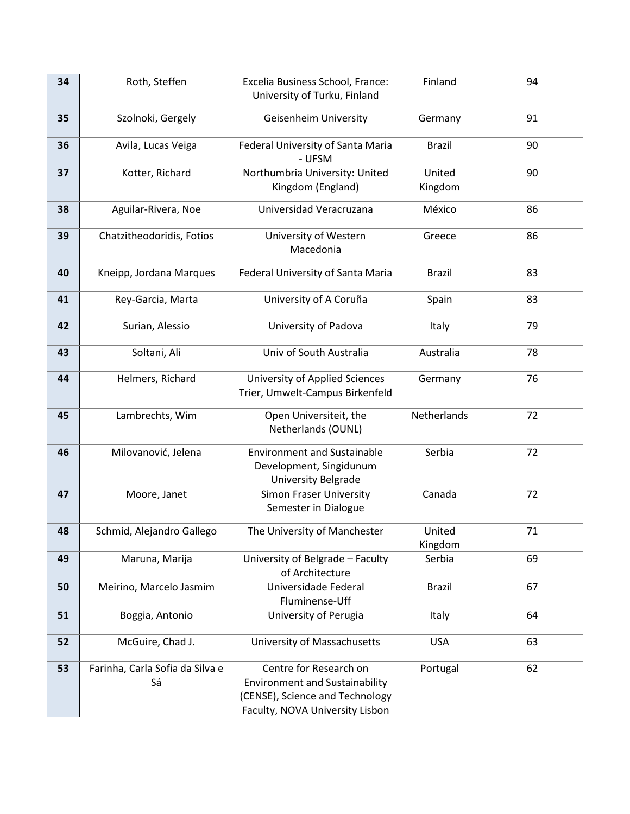| 34 | Roth, Steffen                         | Excelia Business School, France:<br>University of Turku, Finland                                                                      | Finland           | 94 |
|----|---------------------------------------|---------------------------------------------------------------------------------------------------------------------------------------|-------------------|----|
| 35 | Szolnoki, Gergely                     | Geisenheim University                                                                                                                 | Germany           | 91 |
| 36 | Avila, Lucas Veiga                    | Federal University of Santa Maria<br>- UFSM                                                                                           | <b>Brazil</b>     | 90 |
| 37 | Kotter, Richard                       | Northumbria University: United<br>Kingdom (England)                                                                                   | United<br>Kingdom | 90 |
| 38 | Aguilar-Rivera, Noe                   | Universidad Veracruzana                                                                                                               | México            | 86 |
| 39 | Chatzitheodoridis, Fotios             | University of Western<br>Macedonia                                                                                                    | Greece            | 86 |
| 40 | Kneipp, Jordana Marques               | Federal University of Santa Maria                                                                                                     | <b>Brazil</b>     | 83 |
| 41 | Rey-Garcia, Marta                     | University of A Coruña                                                                                                                | Spain             | 83 |
| 42 | Surian, Alessio                       | University of Padova                                                                                                                  | Italy             | 79 |
| 43 | Soltani, Ali                          | Univ of South Australia                                                                                                               | Australia         | 78 |
| 44 | Helmers, Richard                      | <b>University of Applied Sciences</b><br>Trier, Umwelt-Campus Birkenfeld                                                              | Germany           | 76 |
| 45 | Lambrechts, Wim                       | Open Universiteit, the<br>Netherlands (OUNL)                                                                                          | Netherlands       | 72 |
| 46 | Milovanović, Jelena                   | <b>Environment and Sustainable</b><br>Development, Singidunum<br>University Belgrade                                                  | Serbia            | 72 |
| 47 | Moore, Janet                          | <b>Simon Fraser University</b><br>Semester in Dialogue                                                                                | Canada            | 72 |
| 48 | Schmid, Alejandro Gallego             | The University of Manchester                                                                                                          | United<br>Kingdom | 71 |
| 49 | Maruna, Marija                        | University of Belgrade - Faculty<br>of Architecture                                                                                   | Serbia            | 69 |
| 50 | Meirino, Marcelo Jasmim               | Universidade Federal<br>Fluminense-Uff                                                                                                | <b>Brazil</b>     | 67 |
| 51 | Boggia, Antonio                       | University of Perugia                                                                                                                 | Italy             | 64 |
| 52 | McGuire, Chad J.                      | University of Massachusetts                                                                                                           | <b>USA</b>        | 63 |
| 53 | Farinha, Carla Sofia da Silva e<br>Sá | Centre for Research on<br><b>Environment and Sustainability</b><br>(CENSE), Science and Technology<br>Faculty, NOVA University Lisbon | Portugal          | 62 |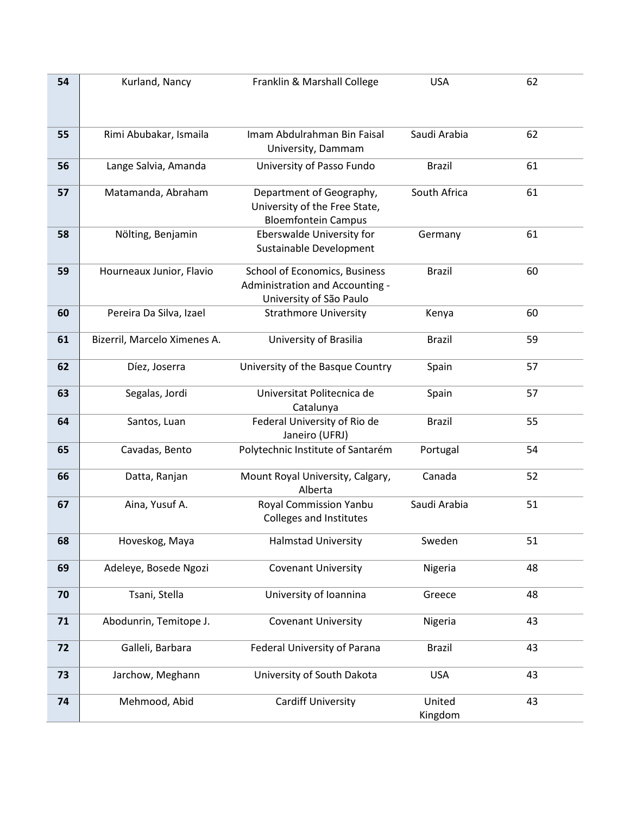| 54 | Kurland, Nancy               | Franklin & Marshall College       | <b>USA</b>    | 62 |
|----|------------------------------|-----------------------------------|---------------|----|
|    |                              |                                   |               |    |
|    |                              |                                   |               |    |
|    |                              | Imam Abdulrahman Bin Faisal       | Saudi Arabia  | 62 |
| 55 | Rimi Abubakar, Ismaila       | University, Dammam                |               |    |
|    |                              |                                   |               |    |
| 56 | Lange Salvia, Amanda         | University of Passo Fundo         | <b>Brazil</b> | 61 |
| 57 | Matamanda, Abraham           | Department of Geography,          | South Africa  | 61 |
|    |                              | University of the Free State,     |               |    |
|    |                              | <b>Bloemfontein Campus</b>        |               |    |
| 58 | Nölting, Benjamin            | Eberswalde University for         | Germany       | 61 |
|    |                              | Sustainable Development           |               |    |
|    |                              |                                   |               |    |
| 59 | Hourneaux Junior, Flavio     | School of Economics, Business     | <b>Brazil</b> | 60 |
|    |                              | Administration and Accounting -   |               |    |
|    |                              | University of São Paulo           |               |    |
| 60 | Pereira Da Silva, Izael      | <b>Strathmore University</b>      | Kenya         | 60 |
|    |                              |                                   |               |    |
| 61 | Bizerril, Marcelo Ximenes A. | University of Brasilia            | <b>Brazil</b> | 59 |
| 62 | Díez, Joserra                | University of the Basque Country  |               | 57 |
|    |                              |                                   | Spain         |    |
| 63 | Segalas, Jordi               | Universitat Politecnica de        | Spain         | 57 |
|    |                              | Catalunya                         |               |    |
| 64 | Santos, Luan                 | Federal University of Rio de      | <b>Brazil</b> | 55 |
|    |                              | Janeiro (UFRJ)                    |               |    |
| 65 | Cavadas, Bento               | Polytechnic Institute of Santarém | Portugal      | 54 |
|    |                              |                                   |               |    |
| 66 | Datta, Ranjan                | Mount Royal University, Calgary,  | Canada        | 52 |
|    |                              | Alberta                           |               |    |
| 67 | Aina, Yusuf A.               | <b>Royal Commission Yanbu</b>     | Saudi Arabia  | 51 |
|    |                              | Colleges and Institutes           |               |    |
| 68 | Hoveskog, Maya               | <b>Halmstad University</b>        | Sweden        | 51 |
|    |                              |                                   |               |    |
| 69 | Adeleye, Bosede Ngozi        | <b>Covenant University</b>        | Nigeria       | 48 |
|    |                              |                                   |               |    |
| 70 | Tsani, Stella                | University of Ioannina            | Greece        | 48 |
|    |                              |                                   |               |    |
| 71 | Abodunrin, Temitope J.       | <b>Covenant University</b>        | Nigeria       | 43 |
|    |                              |                                   |               |    |
| 72 | Galleli, Barbara             | Federal University of Parana      | <b>Brazil</b> | 43 |
| 73 | Jarchow, Meghann             | University of South Dakota        | <b>USA</b>    | 43 |
|    |                              |                                   |               |    |
| 74 | Mehmood, Abid                | <b>Cardiff University</b>         | United        | 43 |
|    |                              |                                   | Kingdom       |    |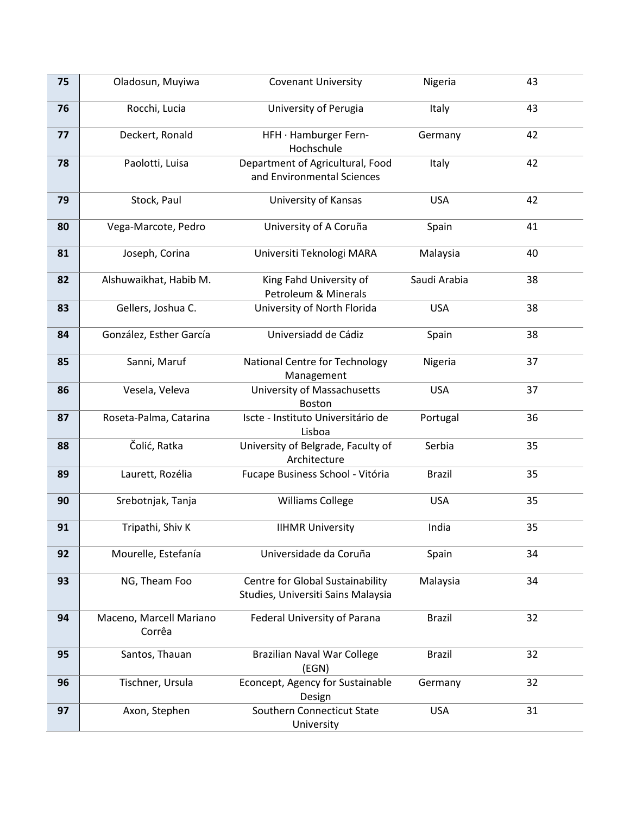| 75 | Oladosun, Muyiwa                  | <b>Covenant University</b>                                             | Nigeria       | 43 |
|----|-----------------------------------|------------------------------------------------------------------------|---------------|----|
| 76 | Rocchi, Lucia                     | University of Perugia                                                  | Italy         | 43 |
| 77 | Deckert, Ronald                   | HFH · Hamburger Fern-<br>Hochschule                                    | Germany       | 42 |
| 78 | Paolotti, Luisa                   | Department of Agricultural, Food<br>and Environmental Sciences         | Italy         | 42 |
| 79 | Stock, Paul                       | University of Kansas                                                   | <b>USA</b>    | 42 |
| 80 | Vega-Marcote, Pedro               | University of A Coruña                                                 | Spain         | 41 |
| 81 | Joseph, Corina                    | Universiti Teknologi MARA                                              | Malaysia      | 40 |
| 82 | Alshuwaikhat, Habib M.            | King Fahd University of<br>Petroleum & Minerals                        | Saudi Arabia  | 38 |
| 83 | Gellers, Joshua C.                | University of North Florida                                            | <b>USA</b>    | 38 |
| 84 | González, Esther García           | Universiadd de Cádiz                                                   | Spain         | 38 |
| 85 | Sanni, Maruf                      | National Centre for Technology<br>Management                           | Nigeria       | 37 |
| 86 | Vesela, Veleva                    | University of Massachusetts<br><b>Boston</b>                           | <b>USA</b>    | 37 |
| 87 | Roseta-Palma, Catarina            | Iscte - Instituto Universitário de<br>Lisboa                           | Portugal      | 36 |
| 88 | Čolić, Ratka                      | University of Belgrade, Faculty of<br>Architecture                     | Serbia        | 35 |
| 89 | Laurett, Rozélia                  | Fucape Business School - Vitória                                       | <b>Brazil</b> | 35 |
| 90 | Srebotnjak, Tanja                 | <b>Williams College</b>                                                | <b>USA</b>    | 35 |
| 91 | Tripathi, Shiv K                  | <b>IIHMR University</b>                                                | India         | 35 |
| 92 | Mourelle, Estefanía               | Universidade da Coruña                                                 | Spain         | 34 |
| 93 | NG, Theam Foo                     | Centre for Global Sustainability<br>Studies, Universiti Sains Malaysia | Malaysia      | 34 |
| 94 | Maceno, Marcell Mariano<br>Corrêa | Federal University of Parana                                           | <b>Brazil</b> | 32 |
| 95 | Santos, Thauan                    | Brazilian Naval War College<br>(EGN)                                   | <b>Brazil</b> | 32 |
| 96 | Tischner, Ursula                  | Econcept, Agency for Sustainable<br>Design                             | Germany       | 32 |
| 97 | Axon, Stephen                     | Southern Connecticut State<br>University                               | <b>USA</b>    | 31 |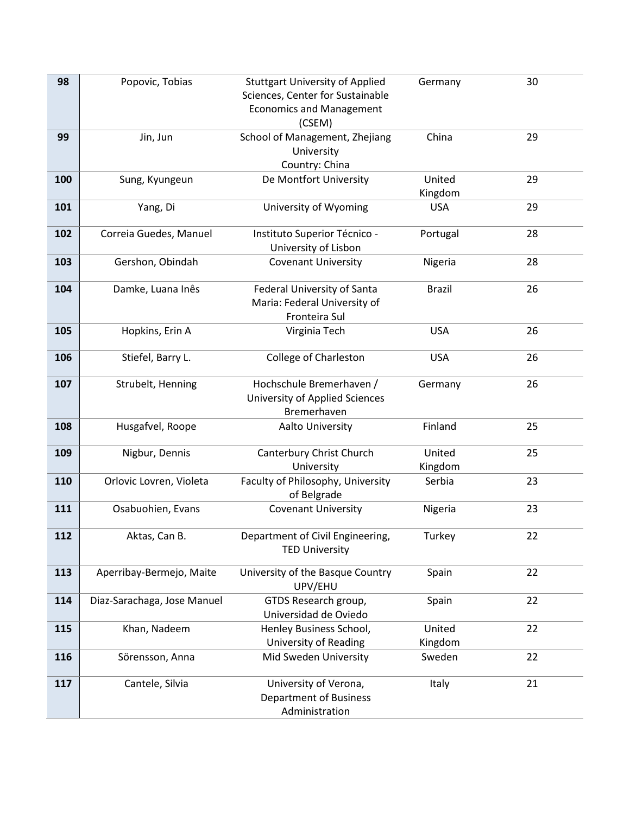| 98  | Popovic, Tobias             | <b>Stuttgart University of Applied</b>        | Germany       | 30 |
|-----|-----------------------------|-----------------------------------------------|---------------|----|
|     |                             | Sciences, Center for Sustainable              |               |    |
|     |                             | <b>Economics and Management</b>               |               |    |
|     |                             | (CSEM)                                        |               |    |
| 99  | Jin, Jun                    | School of Management, Zhejiang                | China         | 29 |
|     |                             | University                                    |               |    |
|     |                             | Country: China                                |               |    |
| 100 | Sung, Kyungeun              | De Montfort University                        | United        | 29 |
|     |                             |                                               | Kingdom       |    |
| 101 | Yang, Di                    | University of Wyoming                         | <b>USA</b>    | 29 |
| 102 | Correia Guedes, Manuel      | Instituto Superior Técnico -                  | Portugal      | 28 |
|     |                             | University of Lisbon                          |               |    |
| 103 | Gershon, Obindah            | <b>Covenant University</b>                    | Nigeria       | 28 |
|     |                             |                                               |               |    |
| 104 | Damke, Luana Inês           | Federal University of Santa                   | <b>Brazil</b> | 26 |
|     |                             | Maria: Federal University of                  |               |    |
|     |                             | Fronteira Sul                                 |               |    |
| 105 | Hopkins, Erin A             | Virginia Tech                                 | <b>USA</b>    | 26 |
|     |                             |                                               |               |    |
| 106 | Stiefel, Barry L.           | <b>College of Charleston</b>                  | <b>USA</b>    | 26 |
|     |                             |                                               |               |    |
| 107 | Strubelt, Henning           | Hochschule Bremerhaven /                      | Germany       | 26 |
|     |                             | University of Applied Sciences<br>Bremerhaven |               |    |
| 108 | Husgafvel, Roope            | Aalto University                              | Finland       | 25 |
|     |                             |                                               |               |    |
| 109 | Nigbur, Dennis              | Canterbury Christ Church                      | United        | 25 |
|     |                             | University                                    | Kingdom       |    |
| 110 | Orlovic Lovren, Violeta     | Faculty of Philosophy, University             | Serbia        | 23 |
|     |                             | of Belgrade                                   |               |    |
| 111 | Osabuohien, Evans           | <b>Covenant University</b>                    | Nigeria       | 23 |
|     |                             |                                               |               |    |
| 112 | Aktas, Can B.               | Department of Civil Engineering,              | Turkey        | 22 |
|     |                             | <b>TED University</b>                         |               |    |
| 113 | Aperribay-Bermejo, Maite    | University of the Basque Country              | Spain         | 22 |
|     |                             | UPV/EHU                                       |               |    |
| 114 | Diaz-Sarachaga, Jose Manuel | GTDS Research group,                          | Spain         | 22 |
|     |                             | Universidad de Oviedo                         |               |    |
| 115 | Khan, Nadeem                | Henley Business School,                       | United        | 22 |
|     |                             | University of Reading                         | Kingdom       |    |
| 116 | Sörensson, Anna             | Mid Sweden University                         | Sweden        | 22 |
|     |                             |                                               |               |    |
| 117 | Cantele, Silvia             | University of Verona,                         | Italy         | 21 |
|     |                             | <b>Department of Business</b>                 |               |    |
|     |                             | Administration                                |               |    |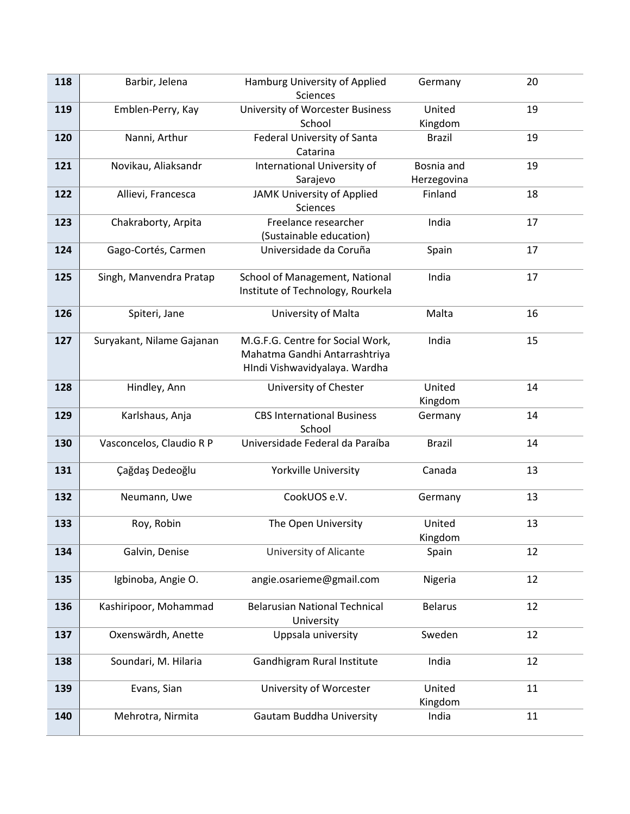| 118 | Barbir, Jelena            | Hamburg University of Applied        | Germany        | 20 |
|-----|---------------------------|--------------------------------------|----------------|----|
|     |                           | <b>Sciences</b>                      |                |    |
| 119 | Emblen-Perry, Kay         | University of Worcester Business     | United         | 19 |
|     |                           | School                               | Kingdom        |    |
| 120 | Nanni, Arthur             | Federal University of Santa          | <b>Brazil</b>  | 19 |
|     |                           | Catarina                             |                |    |
| 121 | Novikau, Aliaksandr       | International University of          | Bosnia and     | 19 |
|     |                           | Sarajevo                             | Herzegovina    |    |
| 122 | Allievi, Francesca        | JAMK University of Applied           | Finland        | 18 |
|     |                           | Sciences                             |                |    |
| 123 | Chakraborty, Arpita       | Freelance researcher                 | India          | 17 |
|     |                           | (Sustainable education)              |                |    |
| 124 | Gago-Cortés, Carmen       | Universidade da Coruña               | Spain          | 17 |
|     |                           |                                      |                |    |
| 125 | Singh, Manvendra Pratap   | School of Management, National       | India          | 17 |
|     |                           | Institute of Technology, Rourkela    |                |    |
| 126 | Spiteri, Jane             | University of Malta                  | Malta          | 16 |
|     |                           |                                      |                |    |
| 127 | Suryakant, Nilame Gajanan | M.G.F.G. Centre for Social Work,     | India          | 15 |
|     |                           | Mahatma Gandhi Antarrashtriya        |                |    |
|     |                           | HIndi Vishwavidyalaya. Wardha        |                |    |
| 128 | Hindley, Ann              | University of Chester                | United         | 14 |
|     |                           |                                      | Kingdom        |    |
| 129 | Karlshaus, Anja           | <b>CBS International Business</b>    | Germany        | 14 |
|     |                           | School                               |                |    |
| 130 | Vasconcelos, Claudio R P  | Universidade Federal da Paraíba      | <b>Brazil</b>  | 14 |
|     |                           |                                      |                |    |
| 131 | Çağdaş Dedeoğlu           | Yorkville University                 | Canada         | 13 |
|     |                           |                                      |                |    |
| 132 | Neumann, Uwe              | CookUOS e.V.                         | Germany        | 13 |
|     |                           |                                      |                |    |
| 133 | Roy, Robin                | The Open University                  | United         | 13 |
|     |                           |                                      | Kingdom        |    |
| 134 | Galvin, Denise            | University of Alicante               | Spain          | 12 |
|     |                           |                                      |                |    |
| 135 | Igbinoba, Angie O.        | angie.osarieme@gmail.com             | Nigeria        | 12 |
|     |                           |                                      |                |    |
| 136 | Kashiripoor, Mohammad     | <b>Belarusian National Technical</b> | <b>Belarus</b> | 12 |
|     |                           | University                           |                |    |
| 137 | Oxenswärdh, Anette        | Uppsala university                   | Sweden         | 12 |
| 138 | Soundari, M. Hilaria      | Gandhigram Rural Institute           | India          | 12 |
|     |                           |                                      |                |    |
| 139 | Evans, Sian               | University of Worcester              | United         | 11 |
|     |                           |                                      | Kingdom        |    |
| 140 | Mehrotra, Nirmita         | <b>Gautam Buddha University</b>      | India          | 11 |
|     |                           |                                      |                |    |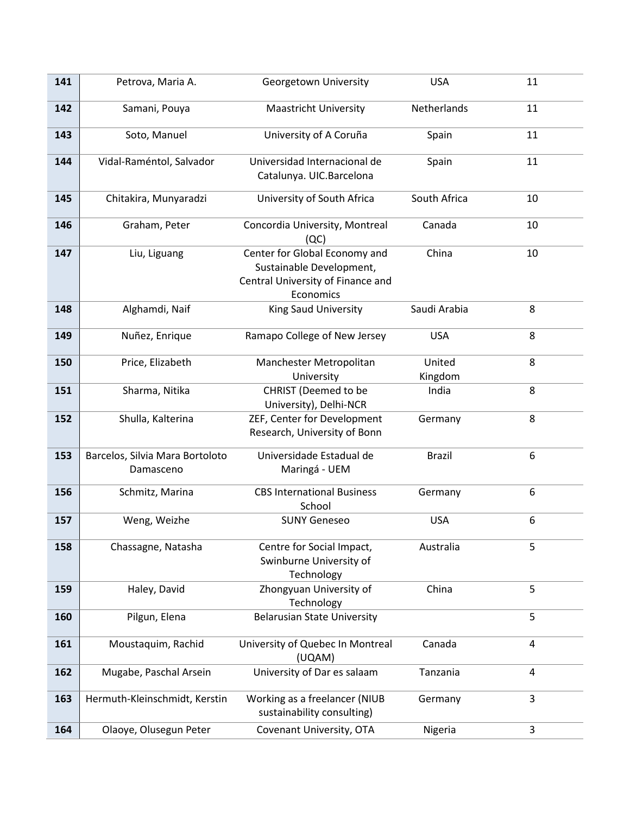| 141 | Petrova, Maria A.                            | Georgetown University                                                                                       | <b>USA</b>        | 11             |
|-----|----------------------------------------------|-------------------------------------------------------------------------------------------------------------|-------------------|----------------|
| 142 | Samani, Pouya                                | <b>Maastricht University</b>                                                                                | Netherlands       | 11             |
| 143 | Soto, Manuel                                 | University of A Coruña                                                                                      | Spain             | 11             |
| 144 | Vidal-Raméntol, Salvador                     | Universidad Internacional de<br>Catalunya. UIC.Barcelona                                                    | Spain             | 11             |
| 145 | Chitakira, Munyaradzi                        | University of South Africa                                                                                  | South Africa      | 10             |
| 146 | Graham, Peter                                | Concordia University, Montreal<br>(QC)                                                                      | Canada            | 10             |
| 147 | Liu, Liguang                                 | Center for Global Economy and<br>Sustainable Development,<br>Central University of Finance and<br>Economics | China             | 10             |
| 148 | Alghamdi, Naif                               | King Saud University                                                                                        | Saudi Arabia      | 8              |
| 149 | Nuñez, Enrique                               | Ramapo College of New Jersey                                                                                | <b>USA</b>        | 8              |
| 150 | Price, Elizabeth                             | Manchester Metropolitan<br>University                                                                       | United<br>Kingdom | 8              |
| 151 | Sharma, Nitika                               | CHRIST (Deemed to be<br>University), Delhi-NCR                                                              | India             | 8              |
| 152 | Shulla, Kalterina                            | ZEF, Center for Development<br>Research, University of Bonn                                                 | Germany           | 8              |
| 153 | Barcelos, Silvia Mara Bortoloto<br>Damasceno | Universidade Estadual de<br>Maringá - UEM                                                                   | <b>Brazil</b>     | 6              |
| 156 | Schmitz, Marina                              | <b>CBS International Business</b><br>School                                                                 | Germany           | 6              |
| 157 | Weng, Weizhe                                 | <b>SUNY Geneseo</b>                                                                                         | <b>USA</b>        | 6              |
| 158 | Chassagne, Natasha                           | Centre for Social Impact,<br>Swinburne University of<br>Technology                                          | Australia         | 5              |
| 159 | Haley, David                                 | Zhongyuan University of<br>Technology                                                                       | China             | 5              |
| 160 | Pilgun, Elena                                | <b>Belarusian State University</b>                                                                          |                   | 5              |
| 161 | Moustaquim, Rachid                           | University of Quebec In Montreal<br>(UQAM)                                                                  | Canada            | $\overline{a}$ |
| 162 | Mugabe, Paschal Arsein                       | University of Dar es salaam                                                                                 | Tanzania          | $\overline{4}$ |
| 163 | Hermuth-Kleinschmidt, Kerstin                | Working as a freelancer (NIUB<br>sustainability consulting)                                                 | Germany           | 3              |
| 164 | Olaoye, Olusegun Peter                       | Covenant University, OTA                                                                                    | Nigeria           | 3              |